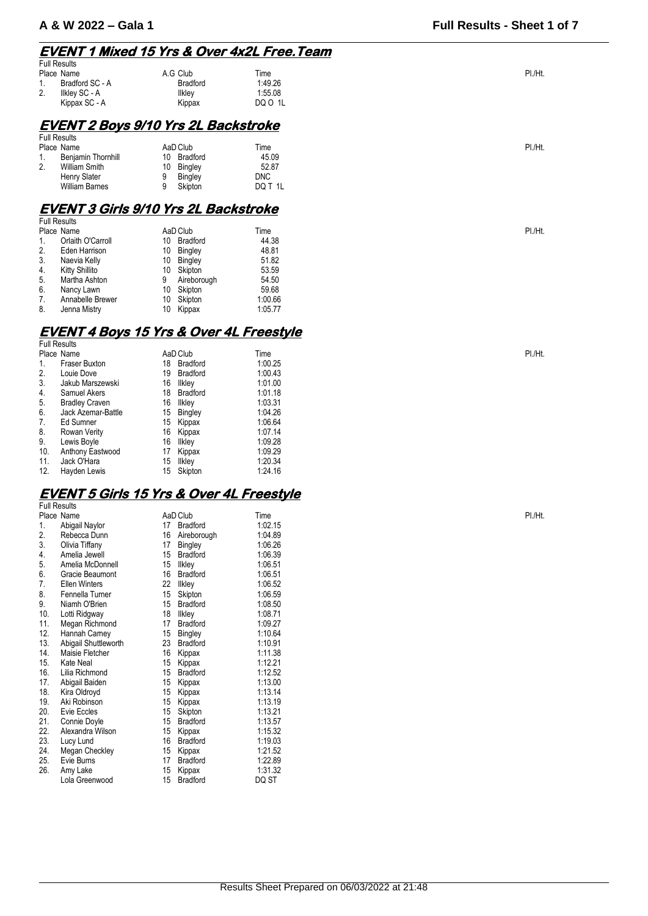## **EVENT 1 Mixed 15 Yrs & Over 4x2L Free.Team**

| <b>Full Results</b> |                 |          |         |        |
|---------------------|-----------------|----------|---------|--------|
|                     | Place Name      | A.G Club | Time    | PI./Ht |
| . .                 | Bradford SC - A | Bradford | 1:49.26 |        |
| 2.                  | Ilkley SC - A   | llklev   | 1:55.08 |        |
|                     | Kippax SC - A   | Kippax   | DQ O 1L |        |

## **EVENT 2 Boys 9/10 Yrs 2L Backstroke**

|         | <b>Full Results</b>       |    |                |         |        |  |
|---------|---------------------------|----|----------------|---------|--------|--|
|         | Place Name                |    | AaD Club       | Time    | PI./Ht |  |
|         | <b>Beniamin Thornhill</b> | 10 | Bradford       | 45.09   |        |  |
| c<br>۷. | <b>William Smith</b>      | 10 | Bingley        | 52.87   |        |  |
|         | Henry Slater              |    | <b>Bingley</b> | DNC     |        |  |
|         | <b>William Barnes</b>     |    | Skipton        | DQ T 1L |        |  |

## **EVENT 3 Girls 9/10 Yrs 2L Backstroke**

|    | <b>Full Results</b> |    |                |         |        |  |
|----|---------------------|----|----------------|---------|--------|--|
|    | Place Name          |    | AaD Club       | Time    | PI./Ht |  |
|    | Orlaith O'Carroll   | 10 | Bradford       | 44.38   |        |  |
| 2. | Eden Harrison       | 10 | <b>Bingley</b> | 48.81   |        |  |
| 3. | Naevia Kelly        | 10 | Bingley        | 51.82   |        |  |
| 4. | Kitty Shillito      | 10 | Skipton        | 53.59   |        |  |
| 5. | Martha Ashton       | 9  | Aireborough    | 54.50   |        |  |
| 6. | Nancy Lawn          | 10 | Skipton        | 59.68   |        |  |
| 7. | Annabelle Brewer    | 10 | Skipton        | 1:00.66 |        |  |
| 8. | Jenna Mistry        | 10 | Kippax         | 1:05.77 |        |  |

## **EVENT 4 Boys 15 Yrs & Over 4L Freestyle**

Full Results

|     | Place Name            |    | AaD Club        | Time    | PI./Ht |
|-----|-----------------------|----|-----------------|---------|--------|
|     | Fraser Buxton         | 18 | Bradford        | 1:00.25 |        |
| 2.  | Louie Dove            | 19 | <b>Bradford</b> | 1:00.43 |        |
| 3.  | Jakub Marszewski      | 16 | likley          | 1:01.00 |        |
| 4.  | Samuel Akers          | 18 | <b>Bradford</b> | 1:01.18 |        |
| 5.  | <b>Bradley Craven</b> | 16 | likley          | 1:03.31 |        |
| 6.  | Jack Azemar-Battle    | 15 | Bingley         | 1:04.26 |        |
| 7.  | Ed Sumner             | 15 | Kippax          | 1:06.64 |        |
| 8.  | Rowan Verity          | 16 | Kippax          | 1:07.14 |        |
| 9.  | Lewis Boyle           | 16 | Ilkley          | 1:09.28 |        |
| 10. | Anthony Eastwood      | 17 | Kippax          | 1:09.29 |        |
| 11. | Jack O'Hara           | 15 | Ilkley          | 1:20.34 |        |
| 12. | Hayden Lewis          | 15 | Skipton         | 1:24.16 |        |

#### **EVENT 5 Girls 15 Yrs & Over 4L Freestyle Full Result**

|     | ı uli i wullu        |    |                 |         |        |
|-----|----------------------|----|-----------------|---------|--------|
|     | Place Name           |    | AaD Club        | Time    | PI./Ht |
| 1.  | Abigail Naylor       | 17 | <b>Bradford</b> | 1:02.15 |        |
| 2.  | Rebecca Dunn         | 16 | Aireborough     | 1:04.89 |        |
| 3.  | Olivia Tiffany       | 17 | Bingley         | 1:06.26 |        |
| 4.  | Amelia Jewell        | 15 | <b>Bradford</b> | 1:06.39 |        |
| 5.  | Amelia McDonnell     | 15 | <b>Ilkley</b>   | 1:06.51 |        |
| 6.  | Gracie Beaumont      | 16 | <b>Bradford</b> | 1:06.51 |        |
| 7.  | Ellen Winters        | 22 | <b>Ilkley</b>   | 1:06.52 |        |
| 8.  | Fennella Turner      | 15 | Skipton         | 1:06.59 |        |
| 9.  | Niamh O'Brien        | 15 | <b>Bradford</b> | 1:08.50 |        |
| 10. | Lotti Ridgway        | 18 | Ilkley          | 1:08.71 |        |
| 11. | Megan Richmond       | 17 | <b>Bradford</b> | 1:09.27 |        |
| 12. | Hannah Carney        | 15 | Bingley         | 1:10.64 |        |
| 13. | Abigail Shuttleworth | 23 | Bradford        | 1:10.91 |        |
| 14. | Maisie Fletcher      | 16 | Kippax          | 1:11.38 |        |
| 15. | Kate Neal            | 15 | Kippax          | 1:12.21 |        |
| 16. | Lilia Richmond       | 15 | Bradford        | 1:12.52 |        |
| 17. | Abigail Baiden       | 15 | Kippax          | 1:13.00 |        |
| 18. | Kira Oldroyd         | 15 | Kippax          | 1:13.14 |        |
| 19. | Aki Robinson         | 15 | Kippax          | 1:13.19 |        |
| 20. | Evie Eccles          | 15 | Skipton         | 1:13.21 |        |
| 21. | Connie Doyle         | 15 | Bradford        | 1:13.57 |        |
| 22. | Alexandra Wilson     | 15 | Kippax          | 1:15.32 |        |
| 23. | Lucy Lund            | 16 | Bradford        | 1:19.03 |        |
| 24. | Megan Checkley       | 15 | Kippax          | 1:21.52 |        |
| 25. | Evie Burns           | 17 | <b>Bradford</b> | 1:22.89 |        |
| 26. | Amy Lake             | 15 | Kippax          | 1:31.32 |        |
|     | Lola Greenwood       | 15 | Bradford        | DQ ST   |        |
|     |                      |    |                 |         |        |

**A & W 2022 – Gala 1 Full Results - Sheet 1 of 7**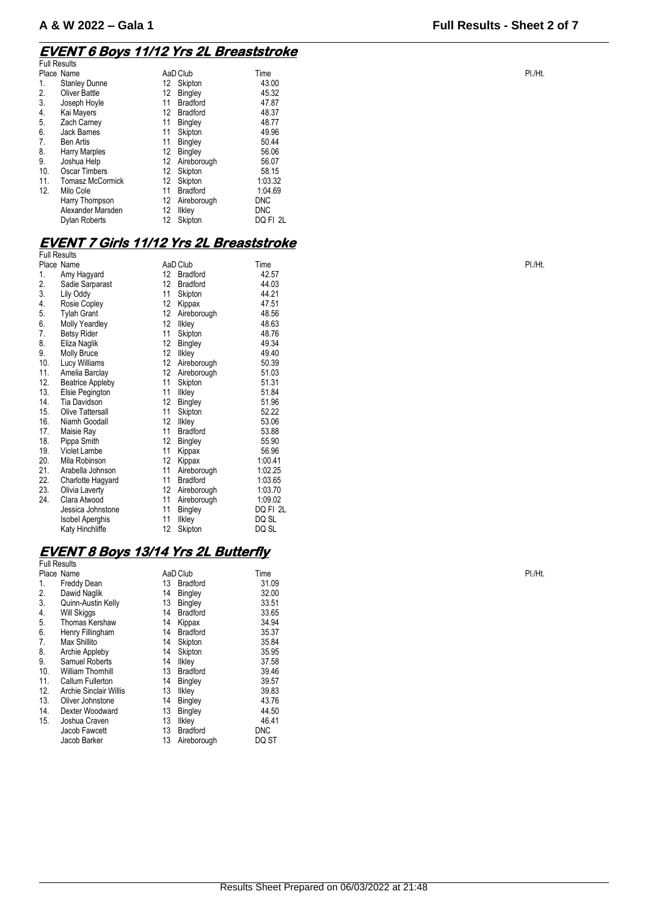## **EVENT 6 Boys 11/12 Yrs 2L Breaststroke**

| <b>Full Results</b> |                         |                   |                 |            |  |
|---------------------|-------------------------|-------------------|-----------------|------------|--|
|                     | Place Name              |                   | AaD Club        | Time       |  |
| 1.                  | <b>Stanley Dunne</b>    | 12 <sup>°</sup>   | Skipton         | 43.00      |  |
| 2.                  | Oliver Battle           | 12                | Bingley         | 45.32      |  |
| 3.                  | Joseph Hoyle            | 11                | <b>Bradford</b> | 47.87      |  |
| 4.                  | Kai Mayers              | 12                | <b>Bradford</b> | 48.37      |  |
| 5.                  | Zach Carney             | 11                | Bingley         | 48.77      |  |
| 6.                  | <b>Jack Barnes</b>      | 11                | Skipton         | 49.96      |  |
| 7.                  | <b>Ben Artis</b>        | 11                | <b>Bingley</b>  | 50.44      |  |
| 8.                  | <b>Harry Marples</b>    | 12                | Bingley         | 56.06      |  |
| 9.                  | Joshua Help             | 12                | Aireborough     | 56.07      |  |
| 10.                 | <b>Oscar Timbers</b>    | 12                | Skipton         | 58.15      |  |
| 11.                 | <b>Tomasz McCormick</b> | 12 <sup>2</sup>   | Skipton         | 1:03.32    |  |
| 12.                 | Milo Cole               | 11                | <b>Bradford</b> | 1:04.69    |  |
|                     | Harry Thompson          | 12                | Aireborough     | <b>DNC</b> |  |
|                     | Alexander Marsden       | 12                | llkley          | <b>DNC</b> |  |
|                     | Dylan Roberts           | $12 \overline{ }$ | Skipton         | DQ FI 2L   |  |
|                     |                         |                   |                 |            |  |

## **EVENT 7 Girls 11/12 Yrs 2L Breaststroke**

|     | <b>Full Results</b>     |    |                 |          |  |
|-----|-------------------------|----|-----------------|----------|--|
|     | Place Name              |    | AaD Club        | Time     |  |
| 1.  | Amy Hagyard             | 12 | <b>Bradford</b> | 42.57    |  |
| 2.  | Sadie Sarparast         | 12 | <b>Bradford</b> | 44.03    |  |
| 3.  | Lily Oddy               | 11 | Skipton         | 44.21    |  |
| 4.  | Rosie Copley            | 12 | Kippax          | 47.51    |  |
| 5.  | <b>Tylah Grant</b>      | 12 | Aireborough     | 48.56    |  |
| 6.  | <b>Molly Yeardley</b>   | 12 | <b>Ilkley</b>   | 48.63    |  |
| 7.  | <b>Betsy Rider</b>      | 11 | Skipton         | 48.76    |  |
| 8.  | Eliza Naglik            | 12 | Bingley         | 49.34    |  |
| 9.  | Molly Bruce             | 12 | <b>Ilkley</b>   | 49.40    |  |
| 10. | Lucy Williams           | 12 | Aireborough     | 50.39    |  |
| 11. | Amelia Barclay          | 12 | Aireborough     | 51.03    |  |
| 12. | <b>Beatrice Appleby</b> | 11 | Skipton         | 51.31    |  |
| 13. | Elsie Pegington         | 11 | <b>Ilkley</b>   | 51.84    |  |
| 14. | <b>Tia Davidson</b>     | 12 | <b>Bingley</b>  | 51.96    |  |
| 15. | Olive Tattersall        | 11 | Skipton         | 52.22    |  |
| 16. | Niamh Goodall           | 12 | <b>Ilkley</b>   | 53.06    |  |
| 17. | Maisie Ray              | 11 | <b>Bradford</b> | 53.88    |  |
| 18. | Pippa Smith             | 12 | Bingley         | 55.90    |  |
| 19. | <b>Violet Lambe</b>     | 11 | Kippax          | 56.96    |  |
| 20. | Mila Robinson           | 12 | Kippax          | 1:00.41  |  |
| 21. | Arabella Johnson        | 11 | Aireborough     | 1:02.25  |  |
| 22. | Charlotte Hagyard       | 11 | <b>Bradford</b> | 1:03.65  |  |
| 23. | Olivia Laverty          | 12 | Aireborough     | 1:03.70  |  |
| 24. | Clara Atwood            | 11 | Aireborough     | 1:09.02  |  |
|     | Jessica Johnstone       | 11 | Bingley         | DQ FI 2L |  |
|     | <b>Isobel Aperghis</b>  | 11 | Ilkley          | DQ SL    |  |
|     | Katy Hinchliffe         | 12 | Skipton         | DQ SL    |  |
|     |                         |    |                 |          |  |

## **EVENT 8 Boys 13/14 Yrs 2L Butterfly**

|     | <b>Full Results</b>           |    |                 |            |        |
|-----|-------------------------------|----|-----------------|------------|--------|
|     | Place Name                    |    | AaD Club        | Time       | PI./Ht |
| 1.  | Freddy Dean                   | 13 | <b>Bradford</b> | 31.09      |        |
| 2.  | Dawid Naglik                  | 14 | Bingley         | 32.00      |        |
| 3.  | Quinn-Austin Kelly            | 13 | Bingley         | 33.51      |        |
| 4.  | Will Skiggs                   | 14 | <b>Bradford</b> | 33.65      |        |
| 5.  | <b>Thomas Kershaw</b>         | 14 | Kippax          | 34.94      |        |
| 6.  | Henry Fillingham              | 14 | <b>Bradford</b> | 35.37      |        |
| 7.  | Max Shillito                  | 14 | Skipton         | 35.84      |        |
| 8.  | Archie Appleby                | 14 | Skipton         | 35.95      |        |
| 9.  | <b>Samuel Roberts</b>         | 14 | Ilkley          | 37.58      |        |
| 10. | <b>William Thornhill</b>      | 13 | <b>Bradford</b> | 39.46      |        |
| 11. | Callum Fullerton              | 14 | Bingley         | 39.57      |        |
| 12. | <b>Archie Sinclair Willis</b> | 13 | Ilkley          | 39.83      |        |
| 13. | Oliver Johnstone              | 14 | Bingley         | 43.76      |        |
| 14. | Dexter Woodward               | 13 | <b>Bingley</b>  | 44.50      |        |
| 15. | Joshua Craven                 | 13 | Ilkley          | 46.41      |        |
|     | Jacob Fawcett                 | 13 | <b>Bradford</b> | <b>DNC</b> |        |
|     | Jacob Barker                  | 13 | Aireborough     | DQ ST      |        |
|     |                               |    |                 |            |        |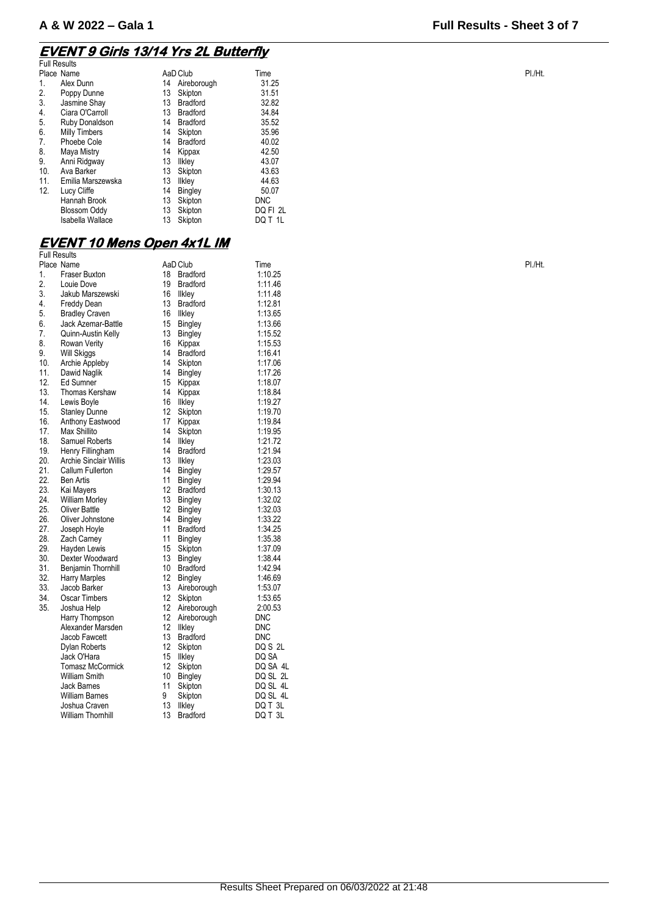## **EVENT 9 Girls 13/14 Yrs 2L Butterfly**

|     | <b>Full Results</b>     |    |                 |            |  |
|-----|-------------------------|----|-----------------|------------|--|
|     | Place Name              |    | AaD Club        | Time       |  |
| 1.  | Alex Dunn               | 14 | Aireborough     | 31.25      |  |
| 2.  | Poppy Dunne             | 13 | Skipton         | 31.51      |  |
| 3.  | Jasmine Shay            | 13 | Bradford        | 32.82      |  |
| 4.  | Ciara O'Carroll         | 13 | <b>Bradford</b> | 34.84      |  |
| 5.  | Ruby Donaldson          | 14 | <b>Bradford</b> | 35.52      |  |
| 6.  | Milly Timbers           | 14 | Skipton         | 35.96      |  |
| 7.  | Phoebe Cole             | 14 | <b>Bradford</b> | 40.02      |  |
| 8.  | Maya Mistry             | 14 | Kippax          | 42.50      |  |
| 9.  | Anni Ridgway            | 13 | Ilkley          | 43.07      |  |
| 10. | Ava Barker              | 13 | Skipton         | 43.63      |  |
| 11. | Emilia Marszewska       | 13 | Ilkley          | 44.63      |  |
| 12. | Lucy Cliffe             | 14 | Bingley         | 50.07      |  |
|     | Hannah Brook            | 13 | Skipton         | <b>DNC</b> |  |
|     | <b>Blossom Oddy</b>     | 13 | Skipton         | DQ FI 2L   |  |
|     | <b>Isabella Wallace</b> | 13 | Skipton         | DQ T 1L    |  |
|     |                         |    |                 |            |  |

## **EVENT 10 Mens Open 4x1L IM**

|     | <b>Full Results</b>           |    |                 |            |        |
|-----|-------------------------------|----|-----------------|------------|--------|
|     | Place Name                    |    | AaD Club        | Time       | PI./Ht |
| 1.  | <b>Fraser Buxton</b>          | 18 | <b>Bradford</b> | 1:10.25    |        |
| 2.  | Louie Dove                    | 19 | <b>Bradford</b> | 1:11.46    |        |
| 3.  | Jakub Marszewski              | 16 | <b>Ilkley</b>   | 1:11.48    |        |
| 4.  | Freddy Dean                   | 13 | <b>Bradford</b> | 1:12.81    |        |
| 5.  | <b>Bradley Craven</b>         | 16 | Ilkley          | 1:13.65    |        |
| 6.  | Jack Azemar-Battle            | 15 | <b>Bingley</b>  | 1:13.66    |        |
| 7.  | Quinn-Austin Kelly            | 13 | <b>Bingley</b>  | 1:15.52    |        |
| 8.  | Rowan Verity                  | 16 | Kippax          | 1:15.53    |        |
| 9.  | Will Skiggs                   | 14 | <b>Bradford</b> | 1:16.41    |        |
| 10. | Archie Appleby                | 14 | Skipton         | 1:17.06    |        |
| 11. | Dawid Naglik                  | 14 | <b>Bingley</b>  | 1:17.26    |        |
| 12. | Ed Sumner                     | 15 | Kippax          | 1:18.07    |        |
| 13. | Thomas Kershaw                | 14 | Kippax          | 1:18.84    |        |
| 14. | Lewis Boyle                   | 16 | likley          | 1:19.27    |        |
| 15. | <b>Stanley Dunne</b>          | 12 | Skipton         | 1:19.70    |        |
| 16. | Anthony Eastwood              | 17 | Kippax          | 1:19.84    |        |
| 17. | Max Shillito                  | 14 | Skipton         | 1:19.95    |        |
| 18. | Samuel Roberts                | 14 | Ilkley          | 1:21.72    |        |
| 19. | Henry Fillingham              | 14 | <b>Bradford</b> | 1:21.94    |        |
| 20. | <b>Archie Sinclair Willis</b> | 13 | likley          | 1:23.03    |        |
| 21. | Callum Fullerton              | 14 | <b>Bingley</b>  | 1:29.57    |        |
| 22. | <b>Ben Artis</b>              | 11 | <b>Bingley</b>  | 1:29.94    |        |
| 23. | Kai Mayers                    | 12 | <b>Bradford</b> | 1:30.13    |        |
| 24. | <b>William Morley</b>         | 13 | Bingley         | 1:32.02    |        |
| 25. | <b>Oliver Battle</b>          | 12 | <b>Bingley</b>  | 1:32.03    |        |
| 26. | Oliver Johnstone              | 14 | <b>Bingley</b>  | 1:33.22    |        |
| 27. | Joseph Hoyle                  | 11 | <b>Bradford</b> | 1:34.25    |        |
| 28. | Zach Carney                   | 11 | Bingley         | 1:35.38    |        |
| 29. | Hayden Lewis                  | 15 | Skipton         | 1:37.09    |        |
| 30. | Dexter Woodward               | 13 | <b>Bingley</b>  | 1:38.44    |        |
| 31. | Benjamin Thornhill            | 10 | Bradford        | 1:42.94    |        |
| 32. | <b>Harry Marples</b>          | 12 | Bingley         | 1:46.69    |        |
| 33. | Jacob Barker                  | 13 | Aireborough     | 1:53.07    |        |
| 34. | <b>Oscar Timbers</b>          | 12 | Skipton         | 1:53.65    |        |
| 35. | Joshua Help                   | 12 | Aireborough     | 2:00.53    |        |
|     | Harry Thompson                | 12 | Aireborough     | <b>DNC</b> |        |
|     | Alexander Marsden             | 12 | likley          | <b>DNC</b> |        |
|     | Jacob Fawcett                 | 13 | <b>Bradford</b> | <b>DNC</b> |        |
|     | Dylan Roberts                 | 12 | Skipton         | DQ S 2L    |        |
|     | Jack O'Hara                   | 15 | llkley          | DQ SA      |        |
|     | <b>Tomasz McCormick</b>       | 12 | Skipton         | DQ SA 4L   |        |
|     | <b>William Smith</b>          | 10 | <b>Bingley</b>  | DQ SL 2L   |        |
|     | Jack Barnes                   | 11 | Skipton         | DQ SL 4L   |        |
|     | <b>William Barnes</b>         | 9  | Skipton         | DQ SL 4L   |        |
|     | Joshua Craven                 | 13 | llkley          | DQ T 3L    |        |
|     | <b>William Thornhill</b>      | 13 | <b>Bradford</b> | DQ T 3L    |        |
|     |                               |    |                 |            |        |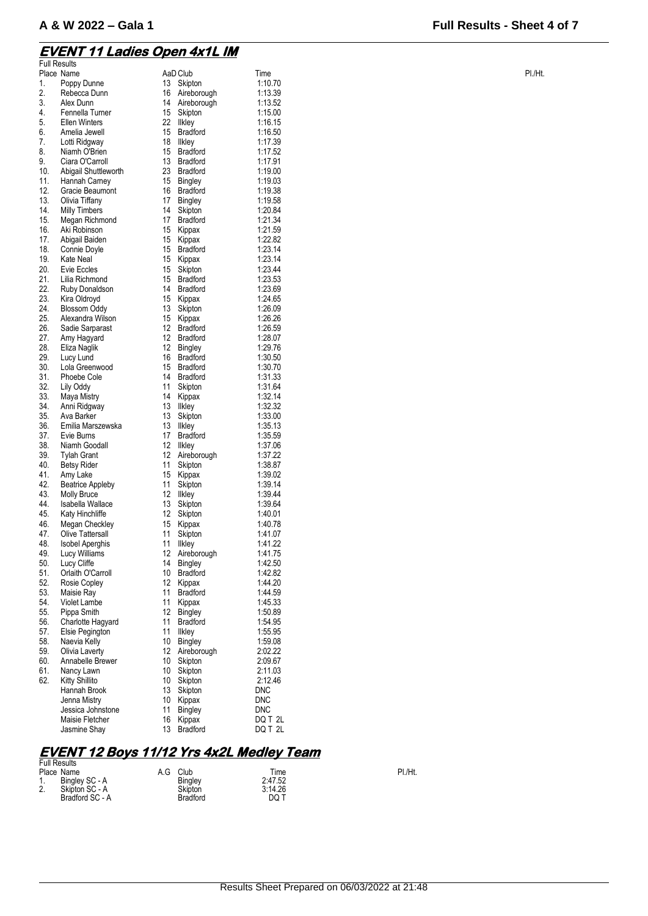#### **EVENT 11 Ladies Open 4x1L IM**

Full Results

| <b>FUIL RESUITS</b> |                         |    |                 |            |        |
|---------------------|-------------------------|----|-----------------|------------|--------|
|                     | Place Name              |    | AaD Club        | Time       | PI./Ht |
| 1.                  | Poppy Dunne             | 13 | Skipton         | 1:10.70    |        |
| 2.                  | Rebecca Dunn            | 16 | Aireborough     | 1:13.39    |        |
| 3.                  | Alex Dunn               | 14 | Aireborough     | 1:13.52    |        |
| 4.                  | Fennella Turner         | 15 | Skipton         | 1:15.00    |        |
| 5.                  | <b>Ellen Winters</b>    | 22 | <b>Ilkley</b>   | 1:16.15    |        |
| 6.                  | Amelia Jewell           | 15 | <b>Bradford</b> | 1:16.50    |        |
| 7.                  | Lotti Ridgway           | 18 | <b>Ilkley</b>   | 1:17.39    |        |
| 8.                  | Niamh O'Brien           | 15 | <b>Bradford</b> | 1:17.52    |        |
| 9.                  | Ciara O'Carroll         | 13 | <b>Bradford</b> | 1:17.91    |        |
| 10.                 | Abigail Shuttleworth    | 23 | <b>Bradford</b> | 1:19.00    |        |
| 11.                 | Hannah Carney           | 15 | Bingley         | 1:19.03    |        |
| 12.                 | Gracie Beaumont         | 16 | <b>Bradford</b> | 1:19.38    |        |
| 13.                 | Olivia Tiffany          | 17 | Bingley         | 1:19.58    |        |
| 14.                 | <b>Milly Timbers</b>    | 14 | Skipton         | 1:20.84    |        |
| 15.                 | Megan Richmond          | 17 | <b>Bradford</b> | 1:21.34    |        |
| 16.                 | Aki Robinson            | 15 | Kippax          | 1:21.59    |        |
| 17.                 | Abigail Baiden          | 15 | Kippax          | 1:22.82    |        |
| 18.                 | Connie Doyle            | 15 | <b>Bradford</b> | 1:23.14    |        |
| 19.                 | Kate Neal               | 15 | Kippax          | 1:23.14    |        |
| 20.                 | Evie Eccles             | 15 | Skipton         | 1:23.44    |        |
| 21.                 | Lilia Richmond          | 15 | <b>Bradford</b> | 1:23.53    |        |
| 22.                 | Ruby Donaldson          | 14 | <b>Bradford</b> | 1:23.69    |        |
| 23.                 |                         |    |                 | 1:24.65    |        |
|                     | Kira Oldroyd            | 15 | Kippax          |            |        |
| 24.                 | <b>Blossom Oddy</b>     | 13 | Skipton         | 1:26.09    |        |
| 25.                 | Alexandra Wilson        | 15 | Kippax          | 1:26.26    |        |
| 26.                 | Sadie Sarparast         | 12 | <b>Bradford</b> | 1:26.59    |        |
| 27.                 | Amy Hagyard             | 12 | <b>Bradford</b> | 1:28.07    |        |
| 28.                 | Eliza Naglik            | 12 | Bingley         | 1:29.76    |        |
| 29.                 | Lucy Lund               | 16 | <b>Bradford</b> | 1:30.50    |        |
| 30.                 | Lola Greenwood          | 15 | <b>Bradford</b> | 1:30.70    |        |
| 31.                 | Phoebe Cole             | 14 | <b>Bradford</b> | 1:31.33    |        |
| 32.                 | Lily Oddy               | 11 | Skipton         | 1:31.64    |        |
| 33.                 | Maya Mistry             | 14 | Kippax          | 1:32.14    |        |
| 34.                 | Anni Ridgway            | 13 | <b>Ilkley</b>   | 1:32.32    |        |
| 35.                 | Ava Barker              | 13 | Skipton         | 1:33.00    |        |
| 36.                 | Emilia Marszewska       | 13 | <b>Ilkley</b>   | 1:35.13    |        |
| 37.                 | Evie Burns              | 17 | <b>Bradford</b> | 1:35.59    |        |
| 38.                 | Niamh Goodall           | 12 | <b>Ilkley</b>   | 1:37.06    |        |
| 39.                 | <b>Tylah Grant</b>      | 12 | Aireborough     | 1:37.22    |        |
| 40.                 | <b>Betsy Rider</b>      | 11 | Skipton         | 1:38.87    |        |
| 41.                 | Amy Lake                | 15 | Kippax          | 1:39.02    |        |
| 42.                 | <b>Beatrice Appleby</b> | 11 | Skipton         | 1:39.14    |        |
| 43.                 | Molly Bruce             | 12 | <b>Ilkley</b>   | 1:39.44    |        |
| 44.                 | Isabella Wallace        | 13 | Skipton         | 1:39.64    |        |
| 45.                 | Katy Hinchliffe         | 12 | Skipton         | 1:40.01    |        |
| 46.                 | Megan Checkley          | 15 | Kippax          | 1:40.78    |        |
| 47.                 | Olive Tattersall        | 11 | Skipton         | 1:41.07    |        |
| 48.                 | <b>Isobel Aperghis</b>  | 11 | <b>Ilkley</b>   | 1:41.22    |        |
| 49.                 | Lucy Williams           |    | 12 Aireborough  | 1:41.75    |        |
| 50.                 | Lucy Cliffe             | 14 | <b>Bingley</b>  | 1:42.50    |        |
| 51.                 | Orlaith O'Carroll       | 10 | <b>Bradford</b> | 1:42.82    |        |
| 52.                 | Rosie Copley            | 12 | Kippax          | 1:44.20    |        |
|                     |                         |    | <b>Bradford</b> |            |        |
| 53.                 | Maisie Ray              | 11 |                 | 1:44.59    |        |
| 54.                 | Violet Lambe            | 11 | Kippax          | 1:45.33    |        |
| 55.                 | Pippa Smith             | 12 | Bingley         | 1:50.89    |        |
| 56.                 | Charlotte Hagyard       | 11 | <b>Bradford</b> | 1:54.95    |        |
| 57.                 | Elsie Pegington         | 11 | llkley          | 1:55.95    |        |
| 58.                 | Naevia Kelly            | 10 | Bingley         | 1:59.08    |        |
| 59.                 | Olivia Laverty          | 12 | Aireborough     | 2:02.22    |        |
| 60.                 | Annabelle Brewer        | 10 | Skipton         | 2:09.67    |        |
| 61.                 | Nancy Lawn              | 10 | Skipton         | 2:11.03    |        |
| 62.                 | <b>Kitty Shillito</b>   | 10 | Skipton         | 2:12.46    |        |
|                     | Hannah Brook            | 13 | Skipton         | <b>DNC</b> |        |
|                     | Jenna Mistry            | 10 | Kippax          | <b>DNC</b> |        |
|                     | Jessica Johnstone       | 11 | Bingley         | <b>DNC</b> |        |
|                     | Maisie Fletcher         | 16 | Kippax          | DQ T 2L    |        |
|                     | Jasmine Shay            | 13 | Bradford        | DQ T 2L    |        |

## **EVENT 12 Boys 11/12 Yrs 4x2L Medley Team**  Full Results

| PI./Ht. |
|---------|
|         |
|         |
|         |
|         |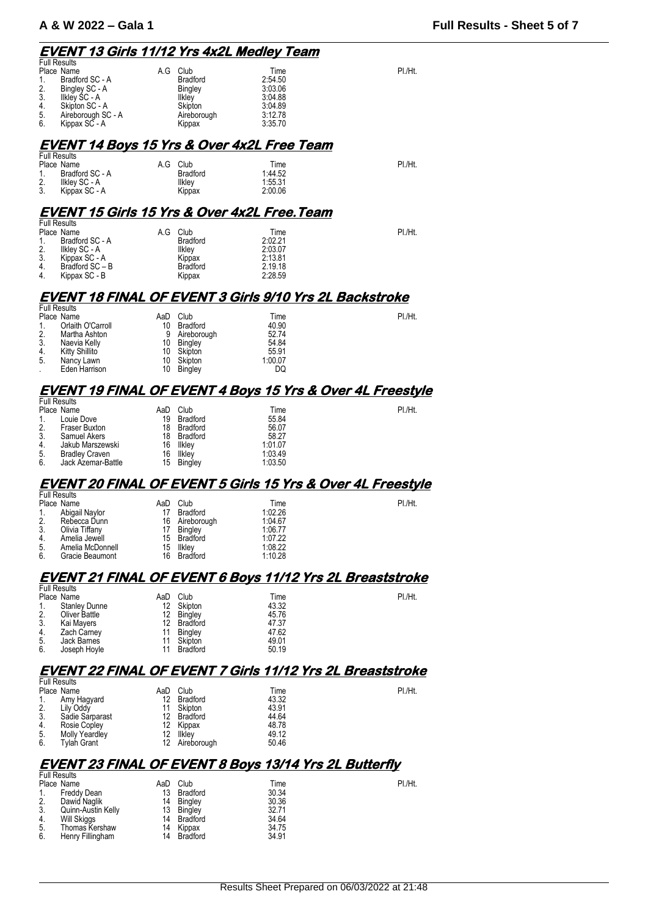#### **EVENT 13 Girls 11/12 Yrs 4x2L Medley Team**

| <b>Full Results</b> |     |                 |         |         |
|---------------------|-----|-----------------|---------|---------|
| Place Name          | A.G | Club            | Time    | PI./Ht. |
| Bradford SC - A     |     | <b>Bradford</b> | 2:54.50 |         |
| Bingley SC - A      |     | <b>Bingley</b>  | 3:03.06 |         |
| Ilkley SC - A       |     | <b>Ilkley</b>   | 3:04.88 |         |
| Skipton SC - A      |     | Skipton         | 3:04.89 |         |
| Aireborough SC - A  |     | Aireborough     | 3:12.78 |         |
| Kippax SC - A       |     | Kippax          | 3:35.70 |         |
|                     |     |                 |         |         |

### **EVENT 14 Boys 15 Yrs & Over 4x2L Free Team**

| <b>Full Results</b> |                 |     |                 |         |         |
|---------------------|-----------------|-----|-----------------|---------|---------|
|                     | Place Name      | A.G | Club            | Time    | PI./Ht. |
| -1.                 | Bradford SC - A |     | <b>Bradford</b> | 1:44.52 |         |
| 2.                  | Ilklev SC - A   |     | Ilkley          | 1:55.31 |         |
| 3.                  | Kippax SC - A   |     | Kippax          | 2:00.06 |         |

#### **EVENT 15 Girls 15 Yrs & Over 4x2L Free.Team**

| <b>Full Results</b> |                 |     |                 |         |         |
|---------------------|-----------------|-----|-----------------|---------|---------|
|                     | Place Name      | A.G | Club            | Time    | PI./Ht. |
|                     | Bradford SC - A |     | <b>Bradford</b> | 2:02.21 |         |
| 2.                  | Ilkley SC - A   |     | llkley          | 2:03.07 |         |
| 3.                  | Kippax SC - A   |     | Kippax          | 2:13.81 |         |
| 4.                  | Bradford SC-B   |     | <b>Bradford</b> | 2.19.18 |         |
| 4.                  | Kippax SC - B   |     | Kippax          | 2:28.59 |         |

#### **EVENT 18 FINAL OF EVENT 3 Girls 9/10 Yrs 2L Backstroke**

|     | <b>Full Results</b> |     |                |         |         |
|-----|---------------------|-----|----------------|---------|---------|
|     | Place Name          | AaD | Club           | Time    | PI./Ht. |
|     | Orlaith O'Carroll   | 10  | Bradford       | 40.90   |         |
| 2.  | Martha Ashton       | 9   | Aireborough    | 52.74   |         |
| -3. | Naevia Kelly        | 10  | Bingley        | 54.84   |         |
| 4.  | Kitty Shillito      | 10  | Skipton        | 55.91   |         |
| 5.  | Nancy Lawn          | 10  | Skipton        | 1:00.07 |         |
|     | Eden Harrison       | 10  | <b>Bingley</b> | DQ      |         |
|     |                     |     |                |         |         |

## **EVENT 19 FINAL OF EVENT 4 Boys 15 Yrs & Over 4L Freestyle**

|                  | <b>Full Results</b>   |     |          |         |         |
|------------------|-----------------------|-----|----------|---------|---------|
|                  | Place Name            | AaD | Club     | Time    | PI./Ht. |
|                  | Louie Dove            | 19  | Bradford | 55.84   |         |
| 2.               | <b>Fraser Buxton</b>  | 18  | Bradford | 56.07   |         |
| 3.               | Samuel Akers          | 18  | Bradford | 58.27   |         |
| $\overline{4}$ . | Jakub Marszewski      | 16  | Ilkley   | 1:01.07 |         |
| 5.               | <b>Bradley Craven</b> | 16  | Ilkley   | 1:03.49 |         |
| 6.               | Jack Azemar-Battle    | 15  | Bingley  | 1:03.50 |         |

#### **EVENT 20 FINAL OF EVENT 5 Girls 15 Yrs & Over 4L Freestyle**

| <b>Full Results</b> |                |                 |                                    |         |
|---------------------|----------------|-----------------|------------------------------------|---------|
| Place Name          | AaD            | Club            | Time                               | PI./Ht. |
| Abigail Navlor      |                | <b>Bradford</b> | 1:02.26                            |         |
| Rebecca Dunn        | 16             |                 | 1:04.67                            |         |
|                     | 17             |                 | 1:06.77                            |         |
| Amelia Jewell       | 15.            |                 | 1:07.22                            |         |
| Amelia McDonnell    | 15             | <b>Ilklev</b>   | 1:08.22                            |         |
| Gracie Beaumont     | 16             | <b>Bradford</b> | 1:10.28                            |         |
|                     | Olivia Tiffany |                 | Aireborough<br>Bingley<br>Bradford |         |

#### **EVENT 21 FINAL OF EVENT 6 Boys 11/12 Yrs 2L Breaststroke**

|                  | <b>Full Results</b>  |     |                |       |         |
|------------------|----------------------|-----|----------------|-------|---------|
|                  | Place Name           | AaD | Club           | Time  | PI./Ht. |
|                  | <b>Stanley Dunne</b> | 12  | Skipton        | 43.32 |         |
| $\overline{2}$ . | Oliver Battle        | 12  | <b>Bingley</b> | 45.76 |         |
| 3.               | Kai Mayers           | 12  | Bradford       | 47.37 |         |
| 4.               | Zach Carney          | 11  | Bingley        | 47.62 |         |
| 5.               | Jack Barnes          | 11  | Skipton        | 49.01 |         |
| 6.               | Joseph Hoyle         | 11  | Bradford       | 50.19 |         |
|                  |                      |     |                |       |         |

#### **EVENT 22 FINAL OF EVENT 7 Girls 11/12 Yrs 2L Breaststroke**

| <b>Full Results</b> |                 |     |                 |       |         |
|---------------------|-----------------|-----|-----------------|-------|---------|
|                     | Place Name      | AaD | Club            | Time  | PI./Ht. |
|                     | Amy Hagyard     | 12  | <b>Bradford</b> | 43.32 |         |
| 2.                  | Lily Oddy       | 11  | Skipton         | 43.91 |         |
| 3.                  | Sadie Sarparast | 12  | <b>Bradford</b> | 44.64 |         |
| 4.                  | Rosie Copley    | 12  | Kippax          | 48.78 |         |
| 5.                  | Molly Yeardley  | 12  | <b>Ilklev</b>   | 49.12 |         |
| 6.                  | Tvlah Grant     | 12  | Aireborough     | 50.46 |         |

#### **EVENT 23 FINAL OF EVENT 8 Boys 13/14 Yrs 2L Butterfly**

| PI./Ht. |
|---------|
|         |
|         |
|         |
|         |
|         |
|         |
|         |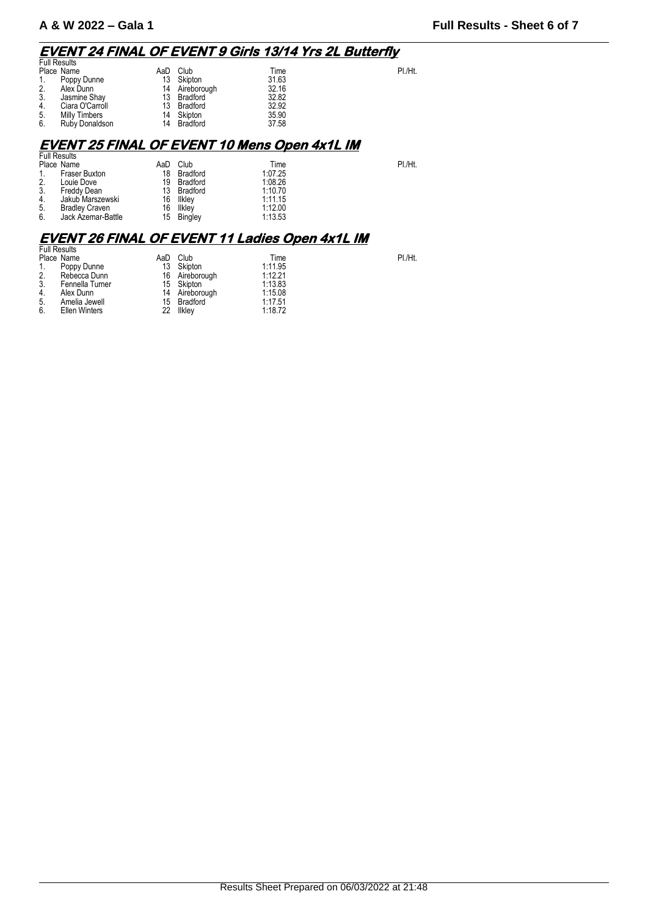## **EVENT 24 FINAL OF EVENT 9 Girls 13/14 Yrs 2L Butterfly**

| <b>Full Results</b> |                 |     |                 |       |         |
|---------------------|-----------------|-----|-----------------|-------|---------|
|                     | Place Name      | AaD | Club            | Time  | PI./Ht. |
|                     | Poppy Dunne     | 13  | Skipton         | 31.63 |         |
| $\overline{2}$ .    | Alex Dunn       | 14  | Aireborough     | 32.16 |         |
| 3.                  | Jasmine Shay    | 13  | Bradford        | 32.82 |         |
| 4.                  | Ciara O'Carroll | 13  | Bradford        | 32.92 |         |
| 5.                  | Milly Timbers   | 14  | Skipton         | 35.90 |         |
| 6.                  | Ruby Donaldson  | 14  | <b>Bradford</b> | 37.58 |         |

## **EVENT 25 FINAL OF EVENT 10 Mens Open 4x1L IM**

|                      | AaD                                                                       | Club          | Time    | PI./Ht. |
|----------------------|---------------------------------------------------------------------------|---------------|---------|---------|
| <b>Fraser Buxton</b> | 18                                                                        | Bradford      | 1:07.25 |         |
| Louie Dove           | 19                                                                        | Bradford      | 1:08.26 |         |
|                      | 13                                                                        | Bradford      | 1:10.70 |         |
| Jakub Marszewski     | 16                                                                        |               | 1:11.15 |         |
|                      | 16                                                                        | <b>Ilkley</b> | 1:12.00 |         |
| Jack Azemar-Battle   | 15                                                                        | Bingley       | 1:13.53 |         |
|                      | <b>Full Results</b><br>Place Name<br>Freddy Dean<br><b>Bradley Craven</b> |               | llkley  |         |

# **EVENT 26 FINAL OF EVENT 11 Ladies Open 4x1L IM**  Full Results

|    | <b>Full Results</b> |     |                |         |         |
|----|---------------------|-----|----------------|---------|---------|
|    | Place Name          | AaD | Club           | Time    | PI./Ht. |
|    | Poppy Dunne         | 13  | Skipton        | 1:11.95 |         |
| 2. | Rebecca Dunn        |     | 16 Aireborough | 1:12.21 |         |
| 3. | Fennella Turner     |     | 15 Skipton     | 1:13.83 |         |
| 4. | Alex Dunn           |     | 14 Aireborough | 1:15.08 |         |
| 5. | Amelia Jewell       |     | 15 Bradford    | 1:17.51 |         |
| 6. | Ellen Winters       | 22  | <b>Ilklev</b>  | 1:18.72 |         |
|    |                     |     |                |         |         |